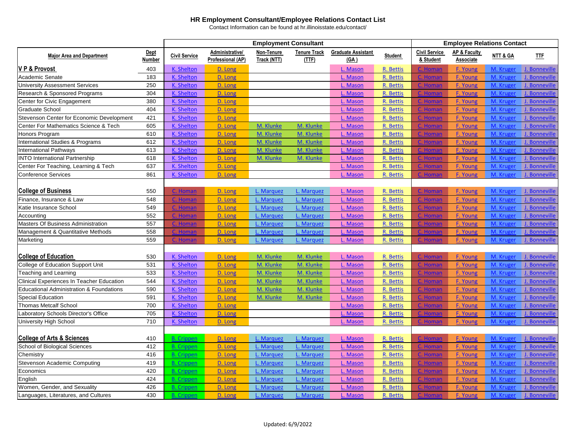|                                                  |                              | <b>Employment Consultant</b> |                                             |                           |                              |                                   |                |                                   | <b>Employee Relations Contact</b>    |           |               |  |  |
|--------------------------------------------------|------------------------------|------------------------------|---------------------------------------------|---------------------------|------------------------------|-----------------------------------|----------------|-----------------------------------|--------------------------------------|-----------|---------------|--|--|
| <b>Major Area and Department</b>                 | <b>Dept</b><br><b>Number</b> | <b>Civil Service</b>         | Administrative/<br><b>Professional (AP)</b> | Non-Tenure<br>Track (NTT) | <b>Tenure Track</b><br>(TTF) | <b>Graduate Assistant</b><br>(GA) | <b>Student</b> | <b>Civil Service</b><br>& Student | <b>AP &amp; Faculty</b><br>Associate | NTT & GA  | IIF           |  |  |
| V P & Provost                                    | 403                          | K. Shelton                   | D. Long                                     |                           |                              | L. Mason                          | R. Bettis      | C. Homan                          | F. Young                             | M. Kruger | J. Bonneville |  |  |
| Academic Senate                                  | 183                          | K. Shelton                   | D. Long                                     |                           |                              | L. Mason                          | R. Bettis      | <u>C. Homan</u>                   | F. Young                             | M. Kruger | J. Bonneville |  |  |
| <b>University Assessment Services</b>            | 250                          | K. Shelton                   | D. Long                                     |                           |                              | L. Mason                          | R. Bettis      | C. Homa                           | F. Young                             | M. Kruger | J. Bonneville |  |  |
| Research & Sponsored Programs                    | 304                          | K. Shelton                   | D. Long                                     |                           |                              | L. Mason                          | R. Bettis      | C. Homan                          | F. Young                             | M. Kruger | J. Bonneville |  |  |
| Center for Civic Engagement                      | 380                          | K. Shelton                   | D. Long                                     |                           |                              | L. Mason                          | R. Bettis      | C. Homar                          | F. Young                             | M. Kruger | J. Bonneville |  |  |
| <b>Graduate School</b>                           | 404                          | K. Shelton                   | D. Long                                     |                           |                              | L. Mason                          | R. Bettis      | C. Homar                          | F. Young                             | M. Kruger | J. Bonneville |  |  |
| Stevenson Center for Economic Development        | 421                          | K. Shelton                   | D. Long                                     |                           |                              | L. Mason                          | R. Bettis      | C. Homan                          | F. Young                             | M. Kruger | J. Bonneville |  |  |
| Center For Mathematics Science & Tech            | 605                          | K. Shelton                   | D. Long                                     | M. Klunke                 | M. Klunke                    | L. Mason                          | R. Bettis      | C. Homan                          | <b>F. Young</b>                      | M. Kruger | J. Bonneville |  |  |
| Honors Program                                   | 610                          | K. Shelton                   | D. Long                                     | M. Klunke                 | M. Klunke                    | L. Mason                          | R. Bettis      | C. Homan                          | F. Young                             | M. Kruger | J. Bonneville |  |  |
| <b>International Studies &amp; Programs</b>      | 612                          | K. Shelton                   | D. Long                                     | M. Klunke                 | M. Klunke                    | L. Mason                          | R. Bettis      | C. Homar                          | F. Young                             | M. Kruger | J. Bonneville |  |  |
| <b>International Pathways</b>                    | 613                          | K. Shelton                   | D. Long                                     | M. Klunke                 | M. Klunke                    | L. Mason                          | R. Bettis      | C. Homan                          | F. Young                             | M. Kruger | J. Bonneville |  |  |
| <b>INTO International Partnership</b>            | 618                          | K. Shelton                   | D. Long                                     | M. Klunke                 | M. Klunke                    | L. Mason                          | R. Bettis      | C. Homar                          | F. Young                             | M. Kruger | J. Bonneville |  |  |
| Center For Teaching, Learning & Tech             | 637                          | K. Shelton                   | D. Long                                     |                           |                              | L. Mason                          | R. Bettis      | C. Homar                          | F. Young                             | M. Kruger | J. Bonneville |  |  |
| <b>Conference Services</b>                       | 861                          | K. Shelton                   | D. Long                                     |                           |                              | L. Mason                          | R. Bettis      | C. Homan                          | <b>F. Young</b>                      | M. Kruger | J. Bonneville |  |  |
|                                                  |                              |                              |                                             |                           |                              |                                   |                |                                   |                                      |           |               |  |  |
| <b>College of Business</b>                       | 550                          | C. Homan                     | D. Long                                     | L. Marquez                | L. Marquez                   | L. Mason                          | R. Bettis      | C. Homan                          | F. Young                             | M. Kruger | J. Bonneville |  |  |
| Finance, Insurance & Law                         | 548                          | C. Homar                     | D. Long                                     | L. Marquez                | L. Marquez                   | L. Mason                          | R. Bettis      | C. Homa                           | F. Young                             | M. Kruger | J. Bonneville |  |  |
| Katie Insurance School                           | 549                          | C. Homan                     | D. Long                                     | L. Marquez                | L. Marquez                   | L. Mason                          | R. Bettis      | C. Homan                          | F. Young                             | M. Kruger | J. Bonneville |  |  |
| Accounting                                       | 552                          | C. Homar                     | D. Long                                     | L. Marquez                | L. Marquez                   | L. Mason                          | R. Bettis      | C. Homar                          | F. Young                             | M. Kruger | J. Bonneville |  |  |
| Masters Of Business Administration               | 557                          | C. Homar                     | D. Long                                     | L. Marquez                | L. Marquez                   | L. Mason                          | R. Bettis      | C. Homar                          | F. Young                             | M. Kruger | J. Bonneville |  |  |
| Management & Quantitative Methods                | 558                          | C. Homan                     | D. Long                                     | L. Marquez                | L. Marquez                   | L. Mason                          | R. Bettis      | C. Homan                          | F. Young                             | M. Kruger | J. Bonneville |  |  |
| Marketing                                        | 559                          | C. Homan                     | D. Long                                     | L. Marquez                | L. Marquez                   | L. Mason                          | R. Bettis      | C. Homan                          | F. Young                             | M. Kruger | J. Bonneville |  |  |
|                                                  |                              |                              |                                             |                           |                              |                                   |                |                                   |                                      |           |               |  |  |
| <b>College of Education</b>                      | 530                          | K. Shelton                   | D. Long                                     | M. Klunke                 | M. Klunke                    | L. Mason                          | R. Bettis      | C. Homan                          | F. Young                             | M. Kruger | J. Bonneville |  |  |
| College of Education Support Unit                | 531                          | <b>K. Shelton</b>            | D. Long                                     | M. Klunke                 | M. Klunke                    | L. Mason                          | R. Bettis      | C. Homan                          | F. Young                             | M. Kruger | J. Bonneville |  |  |
| <b>Teaching and Learning</b>                     | 533                          | K. Shelton                   | D. Long                                     | M. Klunke                 | M. Klunke                    | L. Mason                          | R. Bettis      | C. Homar                          | F. Young                             | M. Kruger | J. Bonneville |  |  |
| <b>Clinical Experiences In Teacher Education</b> | 544                          | K. Shelton                   | D. Long                                     | M. Klunke                 | M. Klunke                    | L. Mason                          | R. Bettis      | C. Homan                          | F. Young                             | M. Kruger | J. Bonneville |  |  |
| Educational Administration & Foundations         | 590                          | <b>K. Shelton</b>            | D. Long                                     | M. Klunke                 | M. Klunke                    | L. Mason                          | R. Bettis      |                                   | F. Young                             | M. Kru    | J. Bonneville |  |  |
| <b>Special Education</b>                         | 591                          | K. Shelton                   | D. Long                                     | M. Klunke                 | M. Klunke                    | L. Mason                          | R. Bettis      | C. Homan                          | F. Young                             | M. Kruger | J. Bonneville |  |  |
| <b>Thomas Metcalf School</b>                     | 700                          | K. Shelton                   | D. Long                                     |                           |                              | L. Mason                          | R. Bettis      | C. Homan                          | F. Young                             | M. Kruger | J. Bonneville |  |  |
| Laboratory Schools Director's Office             | 705                          | K. Shelton                   | D. Long                                     |                           |                              | L. Mason                          | R. Bettis      | C. Homan                          | <b>F. Young</b>                      | M. Kruger | J. Bonneville |  |  |
| University High School                           | 710                          | K. Shelton                   | D. Long                                     |                           |                              | L. Mason                          | R. Bettis      | . Homan                           | F. Young                             | M. Kruger | J. Bonneville |  |  |
|                                                  |                              |                              |                                             |                           |                              |                                   |                |                                   |                                      |           |               |  |  |
| <b>College of Arts &amp; Sciences</b>            | 410                          | <b>B.</b> Crippen            | D. Long                                     | L. Marquez                | L. Marquez                   | L. Mason                          | R. Bettis      | C. Homan                          | <b>F. Young</b>                      | M. Kruger | J. Bonneville |  |  |
| School of Biological Sciences                    | 412                          | <b>B.</b> Crippen            | D. Long                                     | L. Marquez                | L. Marquez                   | L. Mason                          | R. Bettis      | C. Homar                          | F. Young                             | M. Kruger | J. Bonneville |  |  |
| Chemistry                                        | 416                          | <b>B.</b> Crippen            | D. Long                                     | L. Marquez                | L. Marquez                   | L. Mason                          | R. Bettis      | C. Homan                          | F. Young                             | M. Kruger | J. Bonneville |  |  |
| <b>Stevenson Academic Computing</b>              | 419                          | <b>B.</b> Crippen            | D. Long                                     | L. Marquez                | L. Marquez                   | L. Mason                          | R. Bettis      | <u>C. Homan</u>                   | F. Young                             | M. Kruger | J. Bonneville |  |  |
| Economics                                        | 420                          | <b>B.</b> Crippen            | D. Long                                     | L. Marquez                | L. Marquez                   | L. Mason                          | R. Bettis      | C. Homan                          | F. Young                             | M. Kruger | J. Bonneville |  |  |
| English                                          | 424                          | <b>B.</b> Crippen            | D. Long                                     | L. Marquez                | L. Marquez                   | L. Mason                          | R. Bettis      | <u>C. Homan</u>                   | F. Young                             | M. Kruger | J. Bonneville |  |  |
| Women, Gender, and Sexuality                     | 426                          | <b>B.</b> Crippen            | D. Long                                     | L. Marquez                | L. Marquez                   | L. Mason                          | R. Bettis      | <u>C. Homai</u>                   | <b>F. Young</b>                      | M. Kruger | J. Bonneville |  |  |
| Languages, Literatures, and Cultures             | 430                          | <b>B.</b> Crippen            | D. Long                                     | L. Marquez                | L. Marquez                   | L. Mason                          | R. Bettis      | . Homan                           | F. Young                             | M. Kruger | J. Bonneville |  |  |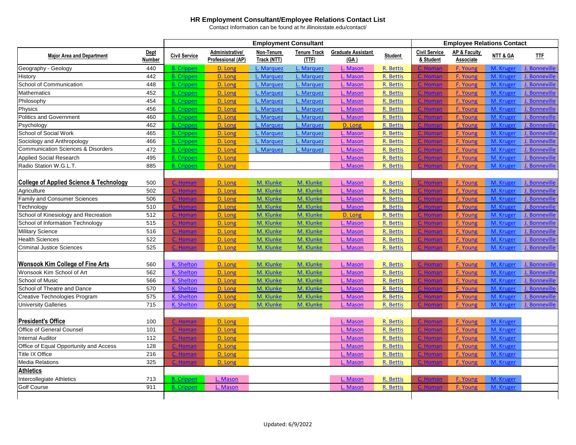|                                                    |               |                      |                   | <b>Employment Consultant</b> |                     |                           | <b>Employee Relations Contact</b> |                      |                         |           |               |  |
|----------------------------------------------------|---------------|----------------------|-------------------|------------------------------|---------------------|---------------------------|-----------------------------------|----------------------|-------------------------|-----------|---------------|--|
| <b>Major Area and Department</b>                   | <b>Dept</b>   | <b>Civil Service</b> | Administrative/   | Non-Tenure                   | <b>Tenure Track</b> | <b>Graduate Assistant</b> | <b>Student</b>                    | <b>Civil Service</b> | <b>AP &amp; Faculty</b> | NTT & GA  | <b>IIE</b>    |  |
|                                                    | <b>Number</b> |                      | Professional (AP) | Track (NTT)                  | (TTF)               | (GA)                      |                                   | & Student            | Associate               |           |               |  |
| Geography - Geology                                | 440           | <b>B.</b> Crippen    | D. Long           | L. Marquez                   | L. Marquez          | L. Mason                  | R. Bettis                         | C. Homan             | F. Young                | M. Kruge  | J. Bonneville |  |
| History                                            | 442           | <b>B.</b> Crippen    | D. Long           | L. Marquez                   | L. Marquez          | L. Mason                  | R. Bettis                         | C. Homan             | <b>F. Young</b>         | M. Kruger | J. Bonneville |  |
| School of Communication                            | 448           | <b>B.</b> Crippen    | D. Long           | L. Marquez                   | L. Marquez          | L. Mason                  | R. Bettis                         | C. Homar             | F. Young                | M. Kruger | J. Bonneville |  |
| Mathematics                                        | 452           | <b>B.</b> Crippen    | D. Long           | L. Marquez                   | L. Marquez          | L. Mason                  | R. Bettis                         | C. Homan             | F. Young                | M. Kruger | J. Bonneville |  |
| Philosophy                                         | 454           | <b>B.</b> Crippen    | D. Long           | L. Marquez                   | L. Marquez          | L. Mason                  | R. Bettis                         | C. Homar             | <b>F. Young</b>         | M. Kruge  | J. Bonneville |  |
| Physics                                            | 456           | <b>B.</b> Crippen    | D. Long           | L. Marquez                   | L. Marquez          | L. Mason                  | R. Bettis                         | C. Homan             | F. Young                | M. Kruger | J. Bonneville |  |
| <b>Politics and Government</b>                     | 460           | <b>B.</b> Crippen    | D. Long           | L. Marquez                   | L. Marquez          | L. Mason                  | R. Bettis                         | C. Homan             | <b>F. Young</b>         | M. Kruger | J. Bonneville |  |
| Psychology                                         | 462           | <b>B.</b> Crippen    | D. Long           | L. Marquez                   | L. Marquez          | D. Long                   | R. Bettis                         | C. Homar             | <b>F. Young</b>         | M. Kruger | J. Bonneville |  |
| <b>School of Social Work</b>                       | 465           | <b>B.</b> Crippen    | D. Long           | L. Marquez                   | L. Marquez          | L. Mason                  | R. Bettis                         | <b>Homan</b>         | <b>F. Young</b>         | M. Kruger | J. Bonneville |  |
| Sociology and Anthropology                         | 466           | <b>B.</b> Crippen    | D. Long           | L. Marquez                   | L. Marquez          | L. Mason                  | R. Bettis                         | C. Homar             | F. Young                | M. Kruge  | J. Bonneville |  |
| <b>Communication Sciences &amp; Disorders</b>      | 472           | <b>B.</b> Crippen    | D. Long           | L. Marquez                   | L. Marquez          | L. Mason                  | R. Bettis                         | C. Homan             | <b>F. Young</b>         | M. Kruger | J. Bonneville |  |
| Applied Social Research                            | 495           | <b>B.</b> Crippen    | D. Long           |                              |                     | L. Mason                  | R. Bettis                         | C. Homan             | F. Young                | M. Kruger | J. Bonneville |  |
| Radio Station W.G.L.T.                             | 885           | <b>B.</b> Crippen    | D. Long           |                              |                     | L. Mason                  | R. Bettis                         | C. Homan             | F. Young                | M. Kruger | J. Bonneville |  |
|                                                    |               |                      |                   |                              |                     |                           |                                   |                      |                         |           |               |  |
| <b>College of Applied Science &amp; Technology</b> | 500           | C. Homan             | D. Long           | M. Klunke                    | M. Klunke           | L. Mason                  | R. Bettis                         | C. Homan             | F. Young                | M. Kruger | J. Bonneville |  |
| Agriculture                                        | 502           | C. Homan             | D. Long           | M. Klunke                    | M. Klunke           | L. Mason                  | R. Bettis                         | C. Homan             | F. Young                | M. Kruger | J. Bonneville |  |
| <b>Family and Consumer Sciences</b>                | 506           | C. Homar             | D. Long           | M. Klunke                    | M. Klunke           | L. Mason                  | R. Bettis                         | . Homar              | <b>F. Young</b>         | M. Kruge  | J. Bonneville |  |
| Technology                                         | 510           | C. Homan             | D. Long           | M. Klunke                    | M. Klunke           | L. Mason                  | R. Bettis                         | C. Homan             | <b>F. Young</b>         | M. Kruger | J. Bonneville |  |
| School of Kinesiology and Recreation               | 512           | C. Homan             | D. Long           | M. Klunke                    | M. Klunke           | D. Long                   | R. Bettis                         | C. Homar             | F. Young                | M. Kruge  | J. Bonneville |  |
| School of Information Technology                   | 515           | C. Homan             | D. Long           | M. Klunke                    | M. Klunke           | L. Mason                  | R. Bettis                         | C. Homar             | F. Young                | M. Kruger | J. Bonneville |  |
| <b>Military Science</b>                            | 516           | C. Homan             | D. Long           | M. Klunke                    | M. Klunke           | L. Mason                  | R. Bettis                         | C. Homan             | F. Young                | M. Kruger | J. Bonneville |  |
| <b>Health Sciences</b>                             | 522           | C. Homan             | D. Long           | M. Klunke                    | M. Klunke           | L. Mason                  | R. Bettis                         | C. Homan             | F. Young                | M. Kruger | J. Bonneville |  |
| <b>Criminal Justice Sciences</b>                   | 525           | Homan                | D. Long           | M. Klunke                    | M. Klunke           | L. Mason                  | R. Bettis                         | . Homan              | <b>F. Young</b>         | M. Kruger | J. Bonneville |  |
|                                                    |               |                      |                   |                              |                     |                           |                                   |                      |                         |           |               |  |
| <b>Wonsook Kim College of Fine Arts</b>            | 560           | K. Shelton           | D. Long           | M. Klunke                    | M. Klunke           | L. Mason                  | R. Bettis                         | C. Homan             | F. Young                | M. Kruger | J. Bonneville |  |
| Wonsook Kim School of Art                          | 562           | K. Shelton           | D. Long           | M. Klunke                    | M. Klunke           | L. Mason                  | R. Bettis                         | C. Homar             | <b>F. Young</b>         | M. Kruge  | J. Bonneville |  |
| School of Music                                    | 566           | K. Shelton           | D. Long           | M. Klunke                    | M. Klunke           | L. Mason                  | R. Bettis                         | . Homan              | F. Young                | M. Kruger | J. Bonneville |  |
| School of Theatre and Dance                        | 570           | K. Shelton           | D. Long           | M. Klunke                    | M. Klunke           | L. Mason                  | R. Bettis                         |                      | F. Young                | M. Krug   | J. Bonneville |  |
| Creative Technologies Program                      | 575           | K. Shelton           | D. Long           | M. Klunke                    | M. Klunke           | L. Mason                  | R. Bettis                         | C. Homan             | <b>F. Young</b>         | M. Kruger | J. Bonneville |  |
| <b>University Galleries</b>                        | 715           | K. Shelton           | D. Long           | M. Klunke                    | M. Klunke           | L. Mason                  | R. Bettis                         | C. Homan             | <b>F. Young</b>         | M. Kruger | J. Bonneville |  |
|                                                    |               |                      |                   |                              |                     |                           |                                   |                      |                         |           |               |  |
| <b>President's Office</b>                          | 100           | C. Homan             | D. Long           |                              |                     | L. Mason                  | R. Bettis                         | C. Homan             | <b>F. Young</b>         | M. Kruger |               |  |
| <b>Office of General Counsel</b>                   | 101           | C. Homan             | D. Long           |                              |                     | L. Mason                  | R. Bettis                         | C. Homar             | F. Young                | M. Kruger |               |  |
| <b>Internal Auditor</b>                            | 112           | C. Homan             | D. Long           |                              |                     | L. Mason                  | R. Bettis                         | C. Homan             | F. Young                | M. Kruger |               |  |
| Office of Equal Opportunity and Access             | 128           | C. Homan             | D. Long           |                              |                     | L. Mason                  | R. Bettis                         | C. Homan             | F. Young                | M. Kruger |               |  |
| <b>Title IX Office</b>                             | 216           | C. Homan             | D. Long           |                              |                     | L. Mason                  | R. Bettis                         | C. Homan             | <b>F. Young</b>         | M. Kruger |               |  |
| <b>Media Relations</b>                             | 325           | C. Homan             | D. Long           |                              |                     | L. Mason                  | R. Bettis                         | C. Homan             | F. Young                | M. Kruger |               |  |
| <b>Athletics</b>                                   |               |                      |                   |                              |                     |                           |                                   |                      |                         |           |               |  |
| Intercollegiate Athletics                          | 713           | <b>B.</b> Crippen    | L. Mason          |                              |                     | L. Mason                  | R. Bettis                         | C. Homan             | <b>F. Young</b>         | M. Kruger |               |  |
| <b>Golf Course</b>                                 | 911           | <b>B.</b> Crippen    | L. Mason          |                              |                     | L. Mason                  | R. Bettis                         | C. Homan             | F. Young                | M. Kruger |               |  |
|                                                    |               |                      |                   |                              |                     |                           |                                   |                      |                         |           |               |  |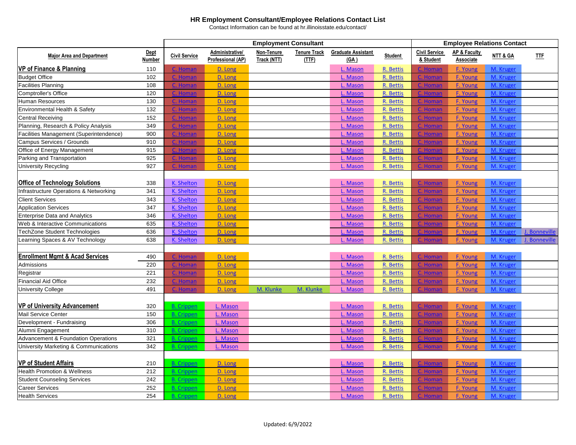|                                                |               | <b>Employment Consultant</b> |                          |             |                     |                           |                | <b>Employee Relations Contact</b> |                         |           |               |  |
|------------------------------------------------|---------------|------------------------------|--------------------------|-------------|---------------------|---------------------------|----------------|-----------------------------------|-------------------------|-----------|---------------|--|
|                                                | Dept          |                              | Administrative/          | Non-Tenure  | <b>Tenure Track</b> | <b>Graduate Assistant</b> |                | <b>Civil Service</b>              | <b>AP &amp; Faculty</b> |           |               |  |
| <b>Major Area and Department</b>               | <b>Number</b> | <b>Civil Service</b>         | <b>Professional (AP)</b> | Track (NTT) | (TTF)               | (GA)                      | <b>Student</b> | & Student                         | Associate               | NTT & GA  | <b>IIE</b>    |  |
| <b>VP of Finance &amp; Planning</b>            | 110           | C. Homan                     | D. Long                  |             |                     | L. Mason                  | R. Bettis      | C. Homan                          | <b>F. Young</b>         | M. Kruger |               |  |
| <b>Budget Office</b>                           | 102           | C. Homan                     | D. Long                  |             |                     | L. Mason                  | R. Bettis      | <u>C. Homar</u>                   | <b>F. Young</b>         | M. Kruger |               |  |
| <b>Facilities Planning</b>                     | 108           | C. Homan                     | D. Long                  |             |                     | L. Mason                  | R. Bettis      | C. Homai                          | F. Young                | M. Kruger |               |  |
| <b>Comptroller's Office</b>                    | 120           | C. Homan                     | D. Long                  |             |                     | L. Mason                  | R. Bettis      | C. Homan                          | <b>F. Young</b>         | M. Kruger |               |  |
| Human Resources                                | 130           | C. Homan                     | D. Long                  |             |                     | L. Mason                  | R. Bettis      | C. Homan                          | F. Young                | M. Kruger |               |  |
| Environmental Health & Safety                  | 132           | C. Homan                     | D. Long                  |             |                     | L. Mason                  | R. Bettis      | C. Homar                          | F. Young                | M. Kruger |               |  |
| <b>Central Receiving</b>                       | 152           | C. Homan                     | D. Long                  |             |                     | L. Mason                  | R. Bettis      | C. Homan                          | F. Young                | M. Kruger |               |  |
| Planning, Research & Policy Analysis           | 349           | C. Homar                     | D. Long                  |             |                     | L. Mason                  | R. Bettis      | C. Homa                           | <b>F. Young</b>         | M. Kruger |               |  |
| Facilities Management (Superintendence)        | 900           | C. Homan                     | D. Long                  |             |                     | L. Mason                  | R. Bettis      | C. Homan                          | <b>F. Young</b>         | M. Kruger |               |  |
| Campus Services / Grounds                      | 910           | C. Homan                     | D. Long                  |             |                     | L. Mason                  | R. Bettis      | C. Homar                          | <b>F. Young</b>         | M. Kruger |               |  |
| Office of Energy Management                    | 915           | C. Homan                     | D. Long                  |             |                     | L. Mason                  | R. Bettis      | C. Homar                          | F. Young                | M. Kruger |               |  |
| Parking and Transportation                     | 925           | C. Homan                     | D. Long                  |             |                     | L. Mason                  | R. Bettis      | C. Homan                          | <b>F. Young</b>         | M. Kruger |               |  |
| <b>University Recycling</b>                    | 927           | C. Homan                     | D. Long                  |             |                     | L. Mason                  | R. Bettis      | C. Homar                          | F. Young                | M. Kruger |               |  |
|                                                |               |                              |                          |             |                     |                           |                |                                   |                         |           |               |  |
| <b>Office of Technology Solutions</b>          | 338           | K. Shelton                   | D. Long                  |             |                     | L. Mason                  | R. Bettis      | C. Homan                          | F. Young                | M. Kruger |               |  |
| Infrastructure Operations & Networking         | 341           | K. Shelton                   | D. Long                  |             |                     | L. Mason                  | R. Bettis      | C. Homar                          | F. Young                | M. Kruger |               |  |
| <b>Client Services</b>                         | 343           | <b>K. Shelton</b>            | D. Long                  |             |                     | L. Mason                  | R. Bettis      | C. Homar                          | F. Young                | M. Kruger |               |  |
| <b>Application Services</b>                    | 347           | K. Shelton                   | D. Long                  |             |                     | L. Mason                  | R. Bettis      | C. Homar                          | F. Young                | M. Kruger |               |  |
| <b>Enterprise Data and Analytics</b>           | 346           | K. Shelton                   | D. Long                  |             |                     | L. Mason                  | R. Bettis      | C. Homar                          | <b>F. Young</b>         | M. Kruger |               |  |
| Web & Interactive Communications               | 635           | K. Shelton                   | D. Long                  |             |                     | L. Mason                  | R. Bettis      | C. Homar                          | F. Young                | M. Kruger |               |  |
| <b>TechZone Student Technologies</b>           | 636           | K. Shelton                   | D. Long                  |             |                     | L. Mason                  | R. Bettis      | C. Homan                          | F. Young                | M. Kruger | J. Bonneville |  |
| Learning Spaces & AV Technology                | 638           | K. Shelton                   | D. Long                  |             |                     | L. Mason                  | R. Bettis      | C. Homa                           | F. Young                | M. Kruger | J. Bonneville |  |
|                                                |               |                              |                          |             |                     |                           |                |                                   |                         |           |               |  |
| <b>Enrollment Mgmt &amp; Acad Services</b>     | 490           | C. Homan                     | D. Long                  |             |                     | L. Mason                  | R. Bettis      | C. Homar                          | F. Young                | M. Kruger |               |  |
| Admissions                                     | 220           | C. Homan                     | D. Long                  |             |                     | L. Mason                  | R. Bettis      | C. Homar                          | F. Young                | M. Kruger |               |  |
| Registrar                                      | 221           | C. Homan                     | D. Long                  |             |                     | L. Mason                  | R. Bettis      | C. Homar                          | <b>F. Young</b>         | M. Kruger |               |  |
| <b>Financial Aid Office</b>                    | 232           | C. Homan                     | D. Long                  |             |                     | L. Mason                  | R. Bettis      | C. Homar                          | F. Young                | M. Kruger |               |  |
| <b>University College</b>                      | 491           |                              | D. Long                  | M. Klunke   | M. Klunke           | L. Mason                  | R. Bettis      |                                   | F. Young                | M. Kruger |               |  |
|                                                |               |                              |                          |             |                     |                           |                |                                   |                         |           |               |  |
| <b>VP of University Advancement</b>            | 320           | <b>B.</b> Crippen            | L. Mason                 |             |                     | L. Mason                  | R. Bettis      | C. Homan                          | F. Young                | M. Kruger |               |  |
| <b>Mail Service Center</b>                     | 150           | <b>B.</b> Crippen            | L. Mason                 |             |                     | L. Mason                  | R. Bettis      | C. Homar                          | <b>F. Young</b>         | M. Kruger |               |  |
| Development - Fundraising                      | 306           | <b>B.</b> Crippen            | L. Mason                 |             |                     | L. Mason                  | R. Bettis      | C. Homar                          | <b>F. Young</b>         | M. Kruger |               |  |
| Alumni Engagement                              | 310           | <b>B.</b> Crippen            | L. Mason                 |             |                     | L. Mason                  | R. Bettis      | C. Homar                          | <b>F. Young</b>         | M. Kruger |               |  |
| <b>Advancement &amp; Foundation Operations</b> | 321           | <b>B.</b> Crippen            | L. Mason                 |             |                     | L. Mason                  | R. Bettis      | C. Homan                          | <b>F. Young</b>         | M. Kruger |               |  |
| University Marketing & Communications          | 342           | <b>B.</b> Crippen            | L. Mason                 |             |                     | L. Mason                  | R. Bettis      | C. Homar                          | F. Young                | M. Kruger |               |  |
|                                                |               |                              |                          |             |                     |                           |                |                                   |                         |           |               |  |
| <b>VP of Student Affairs</b>                   | 210           | <b>B.</b> Crippen            | D. Long                  |             |                     | L. Mason                  | R. Bettis      | C. Homan                          | F. Young                | M. Kruger |               |  |
| <b>Health Promotion &amp; Wellness</b>         | 212           | <b>B.</b> Crippen            | D. Long                  |             |                     | L. Mason                  | R. Bettis      | C. Homar                          | <b>F. Young</b>         | M. Kruger |               |  |
| <b>Student Counseling Services</b>             | 242           | <b>B.</b> Crippen            | D. Long                  |             |                     | L. Mason                  | R. Bettis      | C. Homan                          | F. Young                | M. Kruger |               |  |
| <b>Career Services</b>                         | 252           | <b>B.</b> Crippen            | D. Long                  |             |                     | L. Mason                  | R. Bettis      | C. Homa                           | <b>F. Young</b>         | M. Kruger |               |  |
| <b>Health Services</b>                         | 254           | <b>B.</b> Crippen            | D. Long                  |             |                     | L. Mason                  | R. Bettis      | . Homar                           | <b>F. Young</b>         | M. Kruger |               |  |